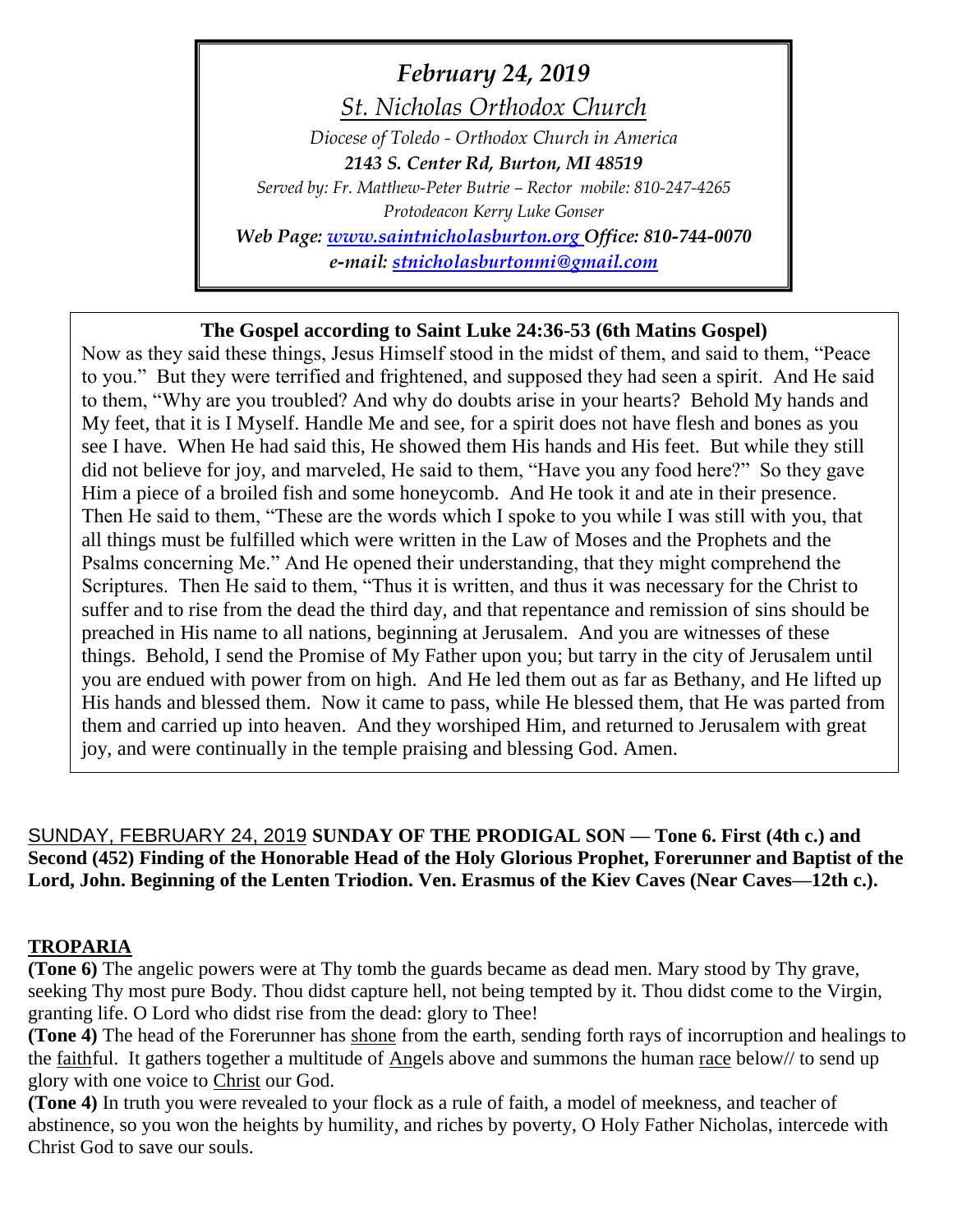# *February 24, 2019*

*St. Nicholas Orthodox Church*

*Diocese of Toledo - Orthodox Church in America 2143 S. Center Rd, Burton, MI 48519 Served by: Fr. Matthew-Peter Butrie – Rector mobile: 810-247-4265 Protodeacon Kerry Luke Gonser Web Page: [www.saintnicholasburton.org](http://www.saintnicholasburton.org/) Office: 810-744-0070 e-mail: [stnicholasburtonmi@gmail.com](mailto:stnicholasburtonmi@gmail.com)*

# **The Gospel according to Saint Luke 24:36-53 (6th Matins Gospel)**

Now as they said these things, Jesus Himself stood in the midst of them, and said to them, "Peace to you." But they were terrified and frightened, and supposed they had seen a spirit. And He said to them, "Why are you troubled? And why do doubts arise in your hearts? Behold My hands and My feet, that it is I Myself. Handle Me and see, for a spirit does not have flesh and bones as you see I have. When He had said this, He showed them His hands and His feet. But while they still did not believe for joy, and marveled, He said to them, "Have you any food here?" So they gave Him a piece of a broiled fish and some honeycomb. And He took it and ate in their presence. Then He said to them, "These are the words which I spoke to you while I was still with you, that all things must be fulfilled which were written in the Law of Moses and the Prophets and the Psalms concerning Me." And He opened their understanding, that they might comprehend the Scriptures. Then He said to them, "Thus it is written, and thus it was necessary for the Christ to suffer and to rise from the dead the third day, and that repentance and remission of sins should be preached in His name to all nations, beginning at Jerusalem. And you are witnesses of these things. Behold, I send the Promise of My Father upon you; but tarry in the city of Jerusalem until you are endued with power from on high. And He led them out as far as Bethany, and He lifted up His hands and blessed them. Now it came to pass, while He blessed them, that He was parted from them and carried up into heaven. And they worshiped Him, and returned to Jerusalem with great joy, and were continually in the temple praising and blessing God. Amen.

SUNDAY, FEBRUARY 24, 2019 **SUNDAY OF THE PRODIGAL SON — Tone 6. First (4th c.) and Second (452) Finding of the Honorable Head of the Holy Glorious Prophet, Forerunner and Baptist of the Lord, John. Beginning of the Lenten Triodion. Ven. Erasmus of the Kiev Caves (Near Caves—12th c.).** 

### **TROPARIA**

**(Tone 6)** The angelic powers were at Thy tomb the guards became as dead men. Mary stood by Thy grave, seeking Thy most pure Body. Thou didst capture hell, not being tempted by it. Thou didst come to the Virgin, granting life. O Lord who didst rise from the dead: glory to Thee!

**(Tone 4)** The head of the Forerunner has shone from the earth, sending forth rays of incorruption and healings to the faithful. It gathers together a multitude of Angels above and summons the human race below// to send up glory with one voice to Christ our God.

**(Tone 4)** In truth you were revealed to your flock as a rule of faith, a model of meekness, and teacher of abstinence, so you won the heights by humility, and riches by poverty, O Holy Father Nicholas, intercede with Christ God to save our souls.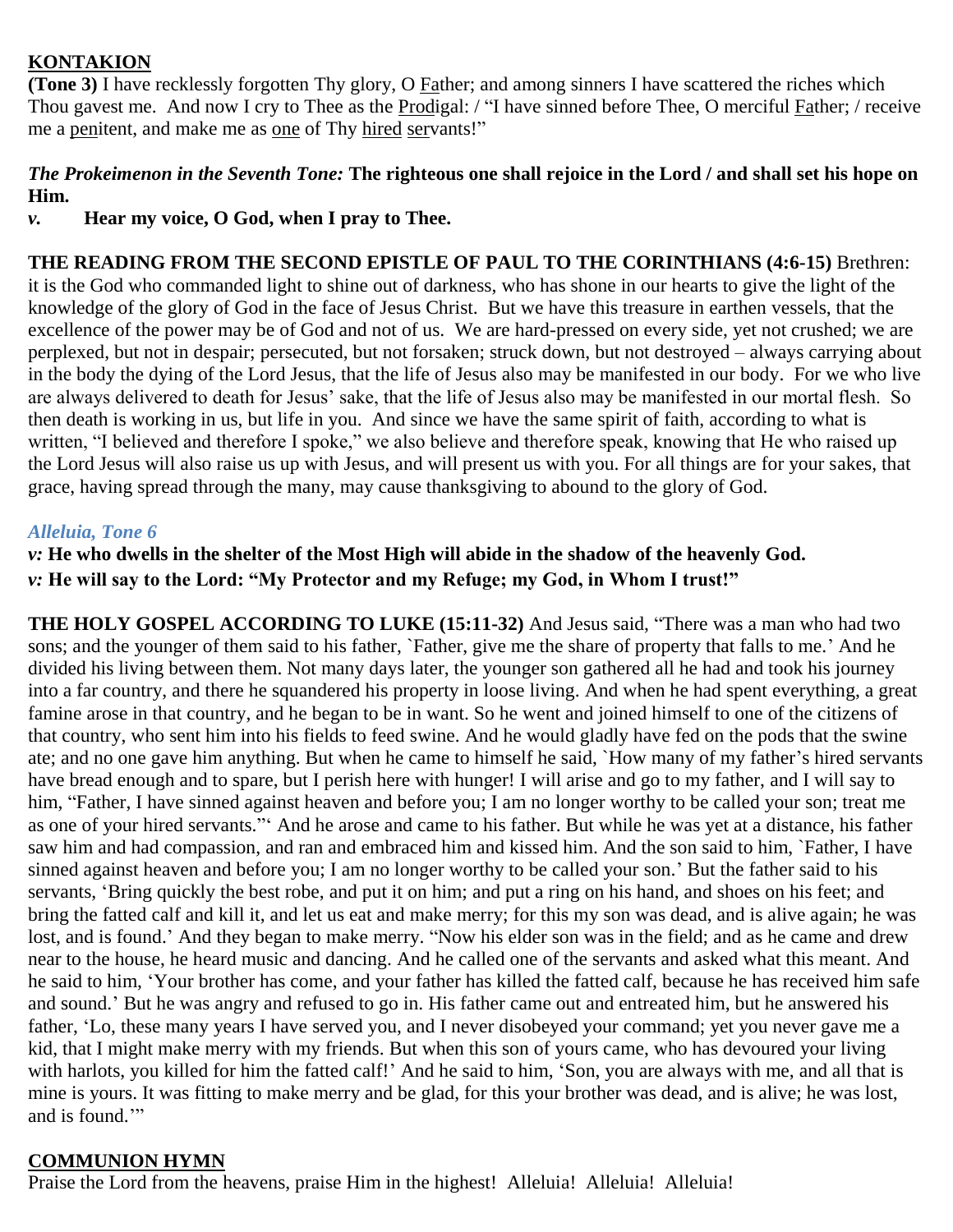# **KONTAKION**

**(Tone 3)** I have recklessly forgotten Thy glory, O Father; and among sinners I have scattered the riches which Thou gavest me. And now I cry to Thee as the Prodigal: / "I have sinned before Thee, O merciful Father; / receive me a penitent, and make me as one of Thy hired servants!"

# *The Prokeimenon in the Seventh Tone:* **The righteous one shall rejoice in the Lord / and shall set his hope on Him.**

*v.* **Hear my voice, O God, when I pray to Thee.**

**THE READING FROM THE SECOND EPISTLE OF PAUL TO THE CORINTHIANS (4:6-15)** Brethren: it is the God who commanded light to shine out of darkness, who has shone in our hearts to give the light of the knowledge of the glory of God in the face of Jesus Christ. But we have this treasure in earthen vessels, that the excellence of the power may be of God and not of us. We are hard-pressed on every side, yet not crushed; we are perplexed, but not in despair; persecuted, but not forsaken; struck down, but not destroyed – always carrying about in the body the dying of the Lord Jesus, that the life of Jesus also may be manifested in our body. For we who live are always delivered to death for Jesus' sake, that the life of Jesus also may be manifested in our mortal flesh. So then death is working in us, but life in you. And since we have the same spirit of faith, according to what is written, "I believed and therefore I spoke," we also believe and therefore speak, knowing that He who raised up the Lord Jesus will also raise us up with Jesus, and will present us with you. For all things are for your sakes, that grace, having spread through the many, may cause thanksgiving to abound to the glory of God.

# *Alleluia, Tone 6*

# *v:* **He who dwells in the shelter of the Most High will abide in the shadow of the heavenly God.** *v:* **He will say to the Lord: "My Protector and my Refuge; my God, in Whom I trust!"**

**THE HOLY GOSPEL ACCORDING TO LUKE (15:11-32)** And Jesus said, "There was a man who had two sons; and the younger of them said to his father, `Father, give me the share of property that falls to me.' And he divided his living between them. Not many days later, the younger son gathered all he had and took his journey into a far country, and there he squandered his property in loose living. And when he had spent everything, a great famine arose in that country, and he began to be in want. So he went and joined himself to one of the citizens of that country, who sent him into his fields to feed swine. And he would gladly have fed on the pods that the swine ate; and no one gave him anything. But when he came to himself he said, `How many of my father's hired servants have bread enough and to spare, but I perish here with hunger! I will arise and go to my father, and I will say to him, "Father, I have sinned against heaven and before you; I am no longer worthy to be called your son; treat me as one of your hired servants."' And he arose and came to his father. But while he was yet at a distance, his father saw him and had compassion, and ran and embraced him and kissed him. And the son said to him, `Father, I have sinned against heaven and before you; I am no longer worthy to be called your son.' But the father said to his servants, 'Bring quickly the best robe, and put it on him; and put a ring on his hand, and shoes on his feet; and bring the fatted calf and kill it, and let us eat and make merry; for this my son was dead, and is alive again; he was lost, and is found.' And they began to make merry. "Now his elder son was in the field; and as he came and drew near to the house, he heard music and dancing. And he called one of the servants and asked what this meant. And he said to him, 'Your brother has come, and your father has killed the fatted calf, because he has received him safe and sound.' But he was angry and refused to go in. His father came out and entreated him, but he answered his father, 'Lo, these many years I have served you, and I never disobeyed your command; yet you never gave me a kid, that I might make merry with my friends. But when this son of yours came, who has devoured your living with harlots, you killed for him the fatted calf!' And he said to him, 'Son, you are always with me, and all that is mine is yours. It was fitting to make merry and be glad, for this your brother was dead, and is alive; he was lost, and is found."

# **COMMUNION HYMN**

Praise the Lord from the heavens, praise Him in the highest! Alleluia! Alleluia! Alleluia!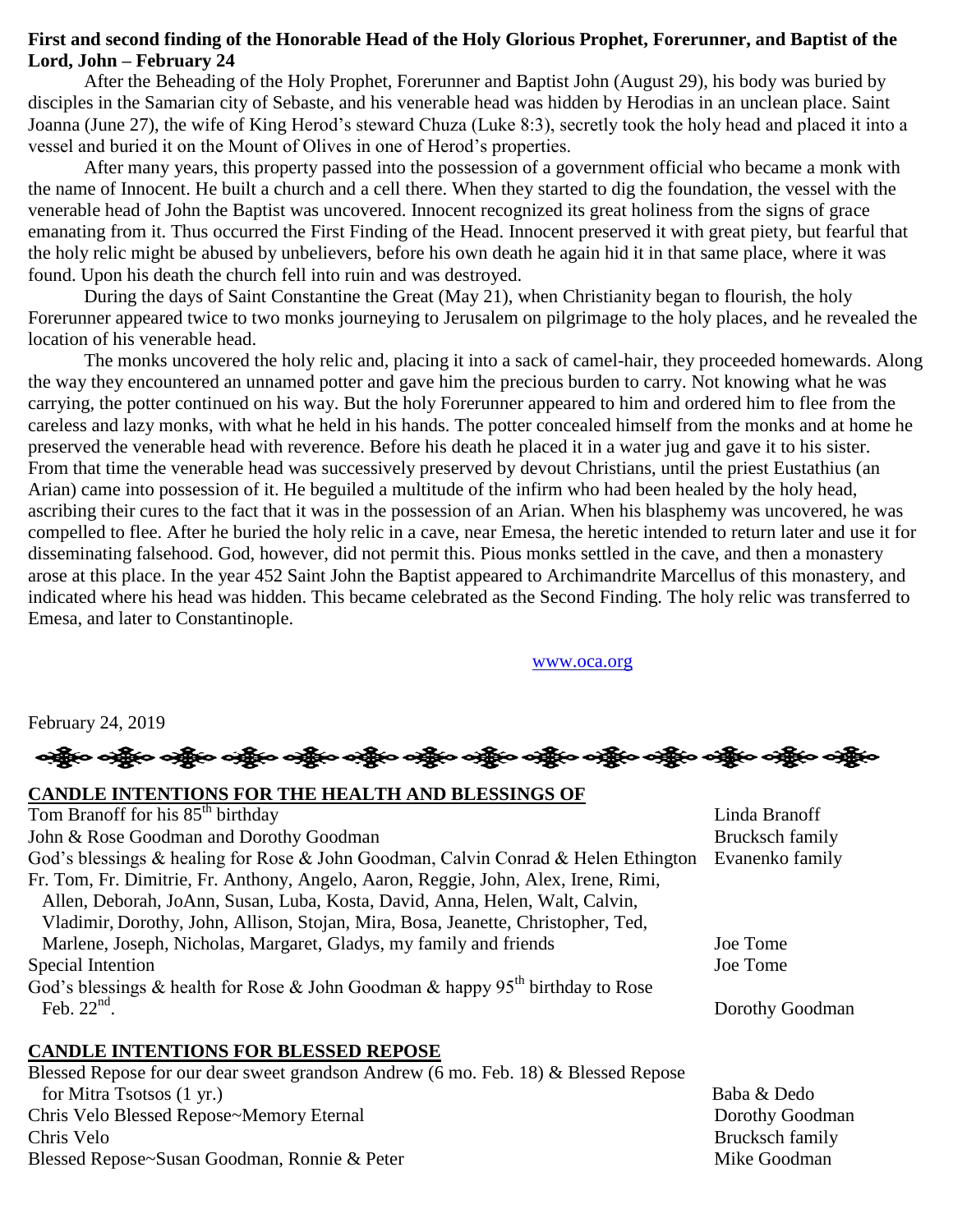### **First and second finding of the Honorable Head of the Holy Glorious Prophet, Forerunner, and Baptist of the Lord, John – February 24**

After the Beheading of the Holy Prophet, Forerunner and Baptist John (August 29), his body was buried by disciples in the Samarian city of Sebaste, and his venerable head was hidden by Herodias in an unclean place. Saint Joanna (June 27), the wife of King Herod's steward Chuza (Luke 8:3), secretly took the holy head and placed it into a vessel and buried it on the Mount of Olives in one of Herod's properties.

After many years, this property passed into the possession of a government official who became a monk with the name of Innocent. He built a church and a cell there. When they started to dig the foundation, the vessel with the venerable head of John the Baptist was uncovered. Innocent recognized its great holiness from the signs of grace emanating from it. Thus occurred the First Finding of the Head. Innocent preserved it with great piety, but fearful that the holy relic might be abused by unbelievers, before his own death he again hid it in that same place, where it was found. Upon his death the church fell into ruin and was destroyed.

During the days of Saint Constantine the Great (May 21), when Christianity began to flourish, the holy Forerunner appeared twice to two monks journeying to Jerusalem on pilgrimage to the holy places, and he revealed the location of his venerable head.

The monks uncovered the holy relic and, placing it into a sack of camel-hair, they proceeded homewards. Along the way they encountered an unnamed potter and gave him the precious burden to carry. Not knowing what he was carrying, the potter continued on his way. But the holy Forerunner appeared to him and ordered him to flee from the careless and lazy monks, with what he held in his hands. The potter concealed himself from the monks and at home he preserved the venerable head with reverence. Before his death he placed it in a water jug and gave it to his sister. From that time the venerable head was successively preserved by devout Christians, until the priest Eustathius (an Arian) came into possession of it. He beguiled a multitude of the infirm who had been healed by the holy head, ascribing their cures to the fact that it was in the possession of an Arian. When his blasphemy was uncovered, he was compelled to flee. After he buried the holy relic in a cave, near Emesa, the heretic intended to return later and use it for disseminating falsehood. God, however, did not permit this. Pious monks settled in the cave, and then a monastery arose at this place. In the year 452 Saint John the Baptist appeared to Archimandrite Marcellus of this monastery, and indicated where his head was hidden. This became celebrated as the Second Finding. The holy relic was transferred to Emesa, and later to Constantinople.

[www.oca.org](http://www.oca.org/)

February 24, 2019

ဆိုပြီးဝ ခရွိပ် ဝန်စွဲမ ခရွိပ် သို့ပြီး ဝန်စွဲမ ခရွိပ် ခရွိပ် ခရွိပ် ခရွိပါ ရှိပါ ပြီး ရောက်ပြီး ခရွိပါ

| CANDLE INTENTIONS FOR THE HEALTH AND BLESSINGS OF                                   |                 |
|-------------------------------------------------------------------------------------|-----------------|
| Tom Branoff for his 85 <sup>th</sup> birthday                                       | Linda Branoff   |
| John & Rose Goodman and Dorothy Goodman                                             | Brucksch family |
| God's blessings & healing for Rose & John Goodman, Calvin Conrad & Helen Ethington  | Evanenko family |
| Fr. Tom, Fr. Dimitrie, Fr. Anthony, Angelo, Aaron, Reggie, John, Alex, Irene, Rimi, |                 |
| Allen, Deborah, JoAnn, Susan, Luba, Kosta, David, Anna, Helen, Walt, Calvin,        |                 |
| Vladimir, Dorothy, John, Allison, Stojan, Mira, Bosa, Jeanette, Christopher, Ted,   |                 |
| Marlene, Joseph, Nicholas, Margaret, Gladys, my family and friends                  | Joe Tome        |
| Special Intention                                                                   | Joe Tome        |
| God's blessings & health for Rose & John Goodman & happy $95th$ birthday to Rose    |                 |
| Feb. $22nd$ .                                                                       | Dorothy Goodman |
| <b>CANDLE INTENTIONS FOR BLESSED REPOSE</b>                                         |                 |
| Blessed Repose for our dear sweet grandson Andrew (6 mo. Feb. 18) & Blessed Repose  |                 |
| for Mitra Tsotsos (1 yr.)                                                           | Baba & Dedo     |
| Chris Velo Blessed Repose~Memory Eternal                                            | Dorothy Goodman |
| Chris Velo                                                                          | Brucksch family |
| Blessed Repose~Susan Goodman, Ronnie & Peter                                        | Mike Goodman    |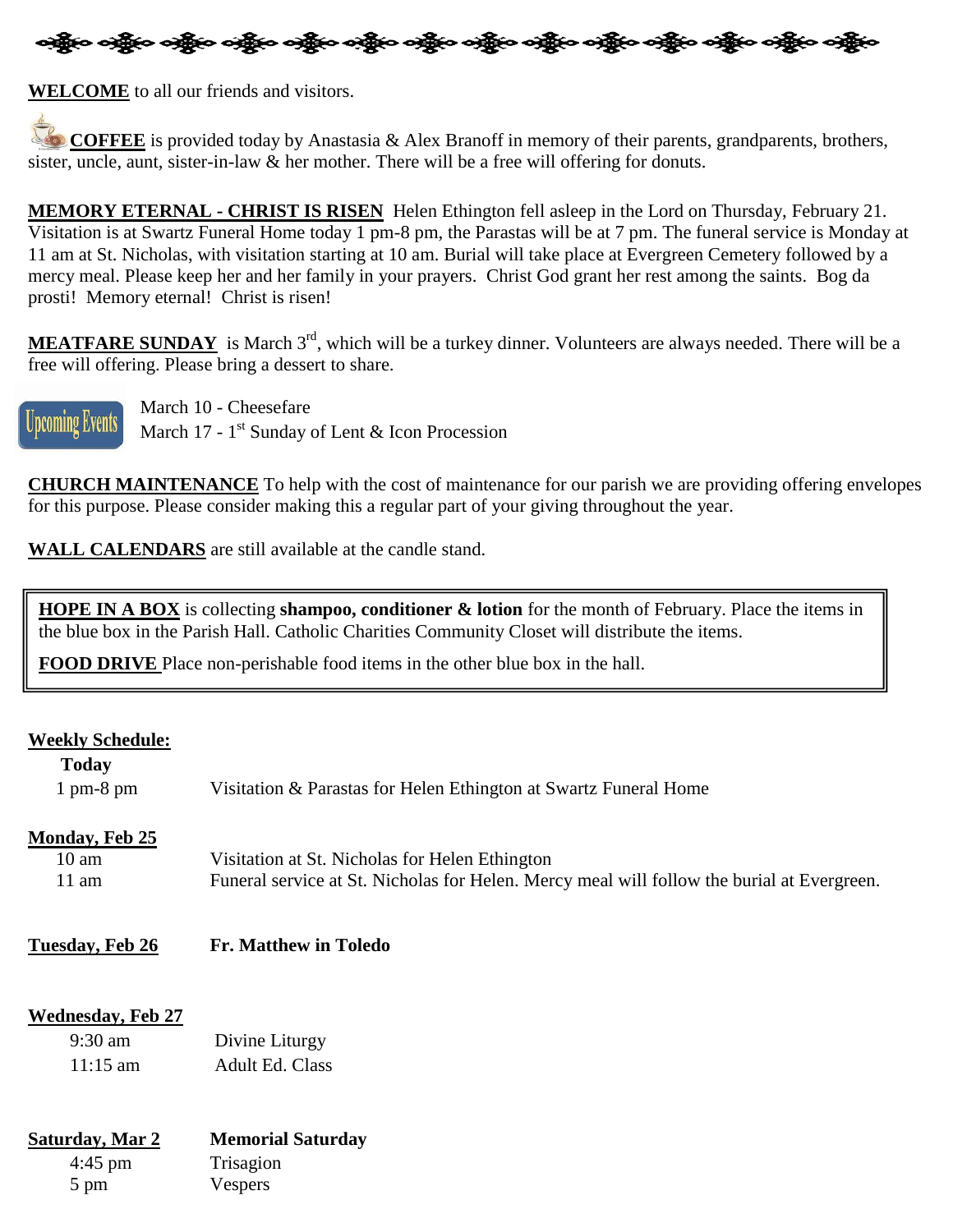

**WELCOME** to all our friends and visitors.

**COFFEE** is provided today by Anastasia & Alex Branoff in memory of their parents, grandparents, brothers, sister, uncle, aunt, sister-in-law & her mother. There will be a free will offering for donuts.

**MEMORY ETERNAL - CHRIST IS RISEN** Helen Ethington fell asleep in the Lord on Thursday, February 21. Visitation is at Swartz Funeral Home today 1 pm-8 pm, the Parastas will be at 7 pm. The funeral service is Monday at 11 am at St. Nicholas, with visitation starting at 10 am. Burial will take place at Evergreen Cemetery followed by a mercy meal. Please keep her and her family in your prayers. Christ God grant her rest among the saints. Bog da prosti! Memory eternal! Christ is risen!

MEATFARE SUNDAY is March 3<sup>rd</sup>, which will be a turkey dinner. Volunteers are always needed. There will be a free will offering. Please bring a dessert to share.



Ï

**Upcoming Events** March 10 - Cheesefare

**UPCOMING AVUILS** March 17 - 1<sup>st</sup> Sunday of Lent & Icon Procession

**CHURCH MAINTENANCE** To help with the cost of maintenance for our parish we are providing offering envelopes for this purpose. Please consider making this a regular part of your giving throughout the year.

**WALL CALENDARS** are still available at the candle stand.

**HOPE IN A BOX** is collecting **shampoo, conditioner & lotion** for the month of February. Place the items in the blue box in the Parish Hall. Catholic Charities Community Closet will distribute the items.

**FOOD DRIVE** Place non-perishable food items in the other blue box in the hall.

#### **Weekly Schedule:**

| <b>Today</b>                |                                                                                            |
|-----------------------------|--------------------------------------------------------------------------------------------|
| $1 \text{ pm-}8 \text{ pm}$ | Visitation & Parastas for Helen Ethington at Swartz Funeral Home                           |
| <b>Monday, Feb 25</b>       |                                                                                            |
| 10 am                       | Visitation at St. Nicholas for Helen Ethington                                             |
| 11 am                       | Funeral service at St. Nicholas for Helen. Mercy meal will follow the burial at Evergreen. |

### **Tuesday, Feb 26 Fr. Matthew in Toledo**

### **Wednesday, Feb 27**

| $9:30 \text{ am}$  | Divine Liturgy         |
|--------------------|------------------------|
| $11:15 \text{ am}$ | <b>Adult Ed. Class</b> |

| Saturday, Mar 2 | <b>Memorial Saturday</b> |  |
|-----------------|--------------------------|--|
| $4:45$ pm       | Trisagion                |  |
| $5 \text{ pm}$  | Vespers                  |  |